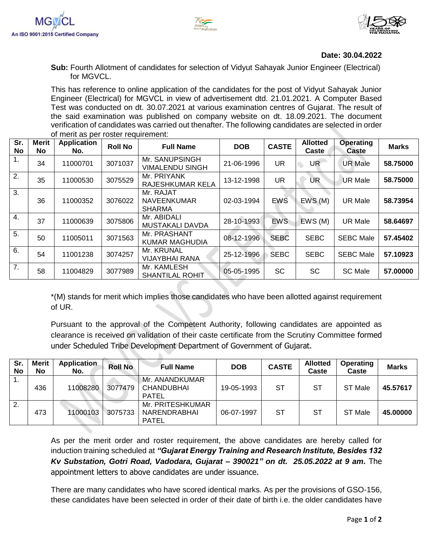





## **Date: 30.04.2022**

**Sub:** Fourth Allotment of candidates for selection of Vidyut Sahayak Junior Engineer (Electrical) for MGVCL.

This has reference to online application of the candidates for the post of Vidyut Sahayak Junior Engineer (Electrical) for MGVCL in view of advertisement dtd. 21.01.2021. A Computer Based Test was conducted on dt. 30.07.2021 at various examination centres of Gujarat. The result of the said examination was published on company website on dt. 18.09.2021. The document verification of candidates was carried out thenafter. The following candidates are selected in order of merit as per roster requirement:

| Sr.<br><b>No</b> | <b>Merit</b><br>No | <b>Application</b><br>No. | <b>Roll No</b> | <b>Full Name</b>                                 | <b>DOB</b> | <b>CASTE</b> | <b>Allotted</b><br>Caste | <b>Operating</b><br>Caste | <b>Marks</b> |
|------------------|--------------------|---------------------------|----------------|--------------------------------------------------|------------|--------------|--------------------------|---------------------------|--------------|
| 1.               | 34                 | 11000701                  | 3071037        | Mr. SANUPSINGH<br><b>VIMALENDU SINGH</b>         | 21-06-1996 | <b>UR</b>    | <b>UR</b>                | <b>UR Male</b>            | 58.75000     |
| 2.               | 35                 | 11000530                  | 3075529        | Mr. PRIYANK<br><b>RAJESHKUMAR KELA</b>           | 13-12-1998 | <b>UR</b>    | <b>UR</b>                | <b>UR Male</b>            | 58.75000     |
| 3.               | 36                 | 11000352                  | 3076022        | Mr. RAJAT<br><b>NAVEENKUMAR</b><br><b>SHARMA</b> | 02-03-1994 | <b>EWS</b>   | EWS(M)                   | <b>UR Male</b>            | 58.73954     |
| 4.               | 37                 | 11000639                  | 3075806        | Mr. ABIDALI<br><b>MUSTAKALI DAVDA</b>            | 28-10-1993 | <b>EWS</b>   | EWS(M)                   | <b>UR Male</b>            | 58.64697     |
| 5.               | 50                 | 11005011                  | 3071563        | Mr. PRASHANT<br><b>KUMAR MAGHUDIA</b>            | 08-12-1996 | <b>SEBC</b>  | <b>SEBC</b>              | <b>SEBC Male</b>          | 57.45402     |
| 6.               | 54                 | 11001238                  | 3074257        | Mr. KRUNAL<br><b>VIJAYBHAI RANA</b>              | 25-12-1996 | <b>SEBC</b>  | <b>SEBC</b>              | <b>SEBC Male</b>          | 57.10923     |
| $\overline{7}$ . | 58                 | 11004829                  | 3077989        | Mr. KAMLESH<br><b>SHANTILAL ROHIT</b>            | 05-05-1995 | SC           | <b>SC</b>                | <b>SC Male</b>            | 57.00000     |

\*(M) stands for merit which implies those candidates who have been allotted against requirement of UR.

Pursuant to the approval of the Competent Authority, following candidates are appointed as clearance is received on validation of their caste certificate from the Scrutiny Committee formed under Scheduled Tribe Development Department of Government of Gujarat.

| Sr.<br>No | <b>Merit</b><br>No. | <b>Application</b><br>No. | <b>Roll No</b> | <b>Full Name</b>                                    | <b>DOB</b> | <b>CASTE</b> | <b>Allotted</b><br>Caste | Operating<br>Caste | <b>Marks</b> |
|-----------|---------------------|---------------------------|----------------|-----------------------------------------------------|------------|--------------|--------------------------|--------------------|--------------|
| . .       | 436                 | 11008280                  | 3077479        | Mr. ANANDKUMAR<br><b>CHANDUBHAI</b><br><b>PATEL</b> | 19-05-1993 | <b>ST</b>    | -ST                      | ST Male            | 45.57617     |
| 2.        | 473                 | 11000103                  | 3075733        | Mr. PRITESHKUMAR<br>NARENDRABHAI<br><b>PATEL</b>    | 06-07-1997 | <b>ST</b>    | <b>ST</b>                | ST Male            | 45.00000     |

As per the merit order and roster requirement, the above candidates are hereby called for induction training scheduled at *"Gujarat Energy Training and Research Institute, Besides 132 Kv Substation, Gotri Road, Vadodara, Gujarat – 390021" on dt. 25.05.2022 at 9 am***.** The appointment letters to above candidates are under issuance.

There are many candidates who have scored identical marks. As per the provisions of GSO-156, these candidates have been selected in order of their date of birth i.e. the older candidates have